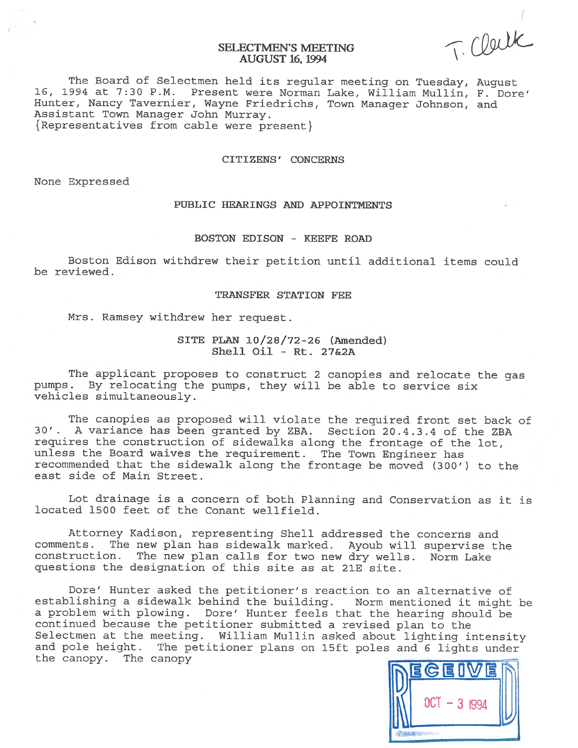SELECTMEN'S MEETING (COUL

The Board of Selectmen held its regular meeting on Tuesday, August<br>16, 1994 at 7:30 P.M. Present were Norman Lake, William Mullin, F. Dor Present were Norman Lake, William Mullin, F. Dore' Hunter, Nancy Tavernier, Wayne Friedrichs, Town Manager Johnson, and Assistant Town Manager John Murray. { Representatives from cable were present}

#### CITIZENS' CONCERNS

None Expressed

# PUBLIC HEARINGS AND APPOINTMENTS

# BOSTON EDISON - KEEFE ROAD

Boston Edison withdrew their petition until additional items could be reviewed.

### TRANSFER STATION FEE

Mrs. Ramsey withdrew her request.

SITE PLAN 10/28/72-26 (Amended) Shell Oil - Rt. 27&2A

The applicant proposes to construct <sup>2</sup> canopies and relocate the gas pumps. By relocating the pumps, they will be able to service six vehicles simultaneously.

The canopies as proposed will violate the required front set back of 30'. <sup>A</sup> variance has been granted by ZBA. Section 20.4.3.4 of the ZBA requires the construction of sidewalks along the frontage of the lot, unless the Board waives the requirement. The Town Engineer has recommended that the sidewalk along the frontage be moved (300') to the east side of Main Street.

Lot drainage is <sup>a</sup> concern of both Planning and Conservation as it is located 1500 feet of the Conant welifield.

Attorney Kadison, representing Shell addressed the concerns and comments. The new <sup>p</sup>lan has sidewalk marked. Ayoub will supervise the construction. The new <sup>p</sup>lan calls for two new dry wells. Norm Lake questions the designation of this site as at 21E site.

Dore' Hunter asked the petitioner's reaction to an alternative of establishing <sup>a</sup> sidewalk behind the building. Norm mentioned it might be <sup>a</sup> problem with <sup>p</sup>lowing. Dore' Hunter feels that the hearing should be continued because the petitioner submitted <sup>a</sup> revised <sup>p</sup>lan to the Selectmen at the meeting. William Mullin asked about lighting intensity and pole height. The petitioner <sup>p</sup>lans on lSft poles and <sup>6</sup> lights under the canopy. The canopy

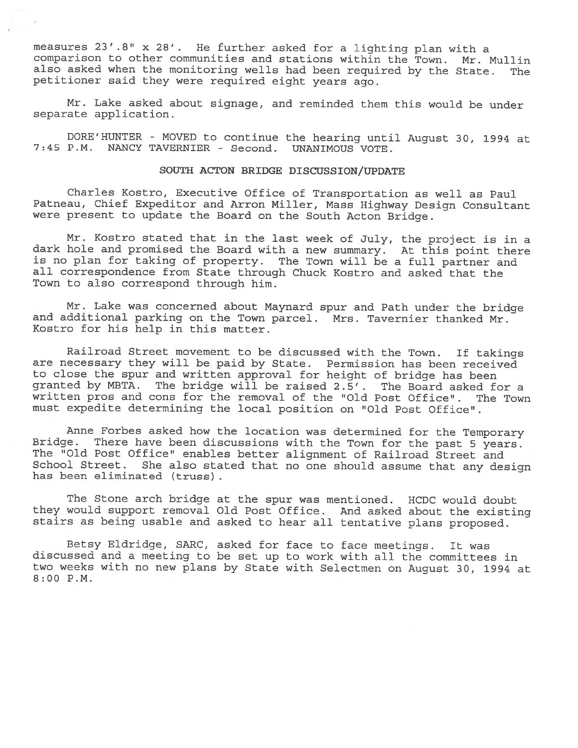measures 23'.8" x 28'. He further asked for a lighting plan with a comparison to other communities and stations within the Town. Mr. Mullin also asked when the monitoring wells had been required by the State. The petitioner said they were required eight years ago.

Mr. Lake asked about signage, and reminded them this would be under separate application.

DORE'HUNTER - MOVED to continue the hearing until August 30, <sup>1994</sup> at 7:45 P.M. NANCY TAVERNIER - Second. UNANIMOUS VOTE.

# SOUTH ACTON BRIDGE DISCUSSION/UPDATE

Charles Kostro, Executive Office of Transportation as well as Paul Patneau, Chief Expeditor and Arron Miller, Mass Highway Design Consultant were present to update the Board on the South Acton Bridge.

Mr. Kostro stated that in the last week of July, the project is in <sup>a</sup> dark hole and promised the Board with <sup>a</sup> new summary. At this point there is no <sup>p</sup>lan for taking of property. The Town will be <sup>a</sup> full partner and all correspondence from State through Chuck Kostro and asked that the Town to also correspond through him.

Mr. Lake was concerned about Maynard spur and Path under the bridge and additional parking on the Town parcel. Mrs. Tavernier thanked Mr. Kostro for his help in this matter.

Railroad Street movement to be discussed with the Town. If takings are necessary they will be paid by State. Permission has been received to close the spur and written approval for height of bridge has been granted by MBTA. The bridge will be raised 2.5'. The Board asked for <sup>a</sup> written pros and cons for the removal of the "Old Post Office". The Town must expedite determining the local position on "Old Post Office".

Anne Forbes asked how the location was determined for the Temporary Bridge. There have been discussions with the Town for the past 5 years. The "Old Post Office" enables better alignment of Railroad Street and School Street. She also stated that no one should assume that any design has been eliminated (truss)

The Stone arch bridge at the spur was mentioned. HCDC would doubt they would support removal Old Post Office. And asked about the existing stairs as being usable and asked to hear all tentative <sup>p</sup>lans proposed.

Betsy Eldridge, SARC, asked for face to face meetings. It was discussed and <sup>a</sup> meeting to be set up to work with all the committees in two weeks with no new <sup>p</sup>lans by State with Selectmen on August 30, <sup>1994</sup> at 8:00 P.M.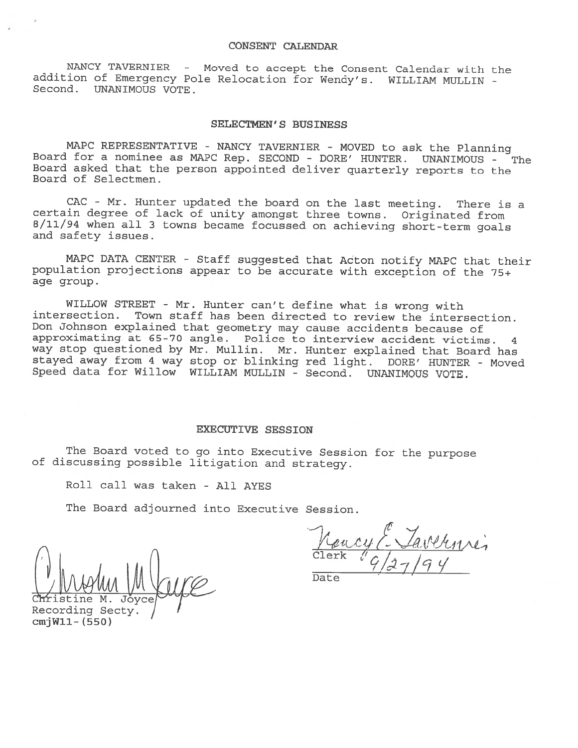## CONSENT CALENDAR

NANCY TAVERNIER - Moved to accept the Consent Calendar with the addition of Emergency Pole Relocation for Wendy's. WILLIAM MULLIN - Second. UNANIMOUS VOTE.

# SELECTMEN'S BUSINESS

MAPC REPRESENTATIVE - NANCY TAVERNIER - MOVED to ask the Planning Board for <sup>a</sup> nominee as MAPC Rep. SECOND - DORE' HUNTER. UNANIMOUS - The 3oard asked that the person appointed deliver quarterly reports to the Board of Selectmen.

CAC - Mr. Hunter updated the board on the last meeting. There is <sup>a</sup> certain degree of lack of unity amongst three towns. Originated from 8/11/94 when all <sup>3</sup> towns became focussed on achieving short-term goals and safety issues.

MAPC DATA CENTER - Staff suggested that Acton notify MAPC that their population projections appear to be accurate with exception of the 75+ age group.

WILLOW STREET - Mr. Hunter can't define what is wrong with intersection. Town staff has been directed to review the intersection. Don Johnson explained that geometry may cause accidents because of approximating at 65-70 angle. Police to interview accident victims. <sup>4</sup> way stop questioned by Mr. Mullin. Mr. Hunter explained that Board has stayed away from <sup>4</sup> way stop or blinking red light. DORE' HUNTER - Moved Speed data for Willow WILLIAM MULLIN - Second. UNANIMOUS VOTE.

#### EXECUTIVE SESSION

The Board voted to go into Executive Session for the purpose of discussing possible litigation and strategy.

Roll call was taken - All AYES

The Board adjourned into Executive Session.

ranci c1erk ' $\cup$  .  $\cap$  .  $\cup$  . V

Date

istine M. Joyce Recording Secty<br>cmjW11- (550)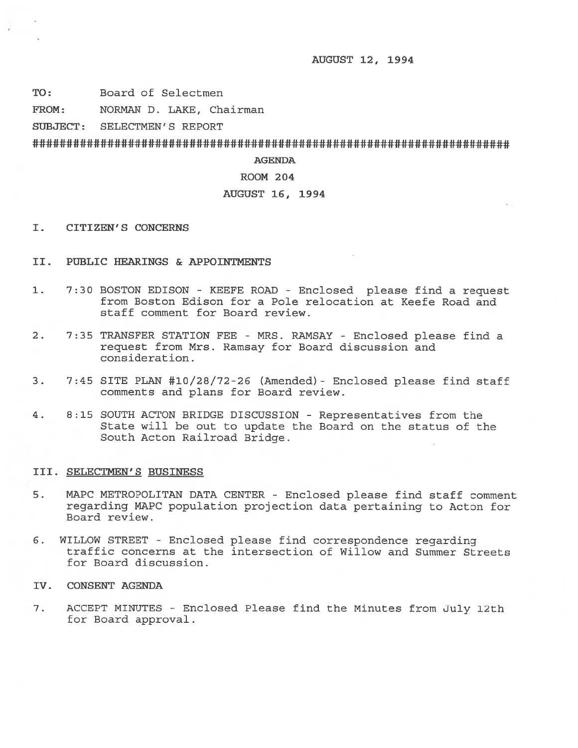AUGUST 12, 1994

TO: Board of Selectmen

FROM: NORMAN D. LAKE, Chairman

SUBJECT: SELECTMEN'S REPORT

AGENDA

# ROOM 204

# AUGUST 16, 1994

- I. CITIZEN'S CONCERNS
- II. PUBLIC HEARINGS & APPOINTMENTS
- 1. 7:30 BOSTON EDISON KEEFE ROAD Enclosed please find <sup>a</sup> reques<sup>t</sup> from Boston Edison for <sup>a</sup> Pole relocation at Keefe Road and staff comment for Board review.
- 2. 7:35 TRANSFER STATION FEE MRS. RAMSAY Enclosed <sup>p</sup>lease find <sup>a</sup> reques<sup>t</sup> from Mrs. Ramsay for Board discussion and consideration.
- 3. 7:45 SITE PLAN #10/28/72-26 (Amended)- Enclosed please find staff comments and plans for Board review.
- 4. 8:15 SOUTH ACTON BRIDGE DISCUSSION Representatives from the State will be out to update the Board on the status of the South Acton Railroad Bridge.

# III. SELECTMEN'S BUSINESS

- 5. MAPC METROPOLITAN DATA CENTER Enclosed please find staff comment regarding MAPC population projection data pertaining to Acton for Board review.
- 6. WILLOW STREET Enclosed please find correspondence regarding traffic concerns at the intersection of Willow and Summer Streets for Board discussion.
- IV. CONSENT AGENDA
- 7. ACCEPT MINUTES -Enclosed Please find the Minutes from July 12th for Board approval.